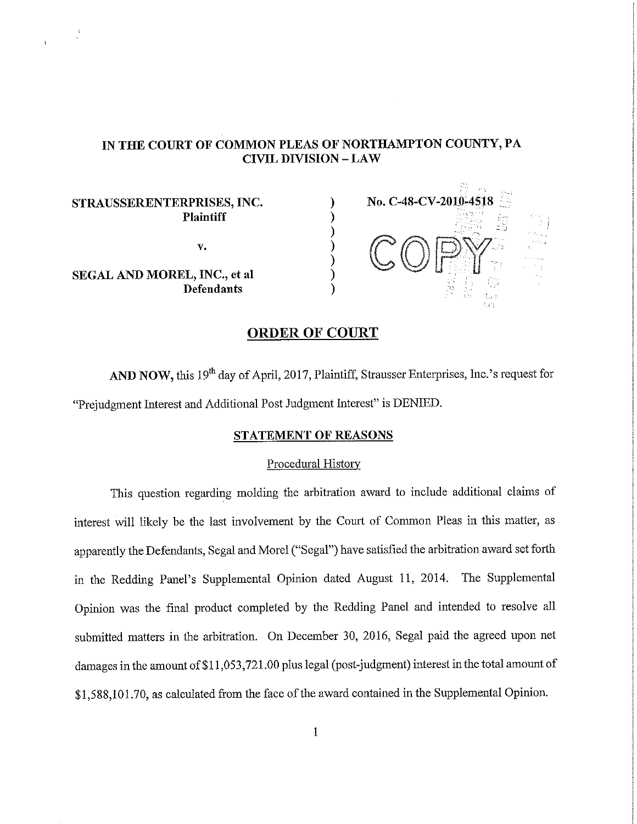#### IN THE COURT OF COMMON PLEAS OF NORTHAMPTON COUNTY, PA **CIVIL DIVISION - LAW**

#### STRAUSSERENTERPRISES, INC. **Plaintiff**

V.

SEGAL AND MOREL, INC., et al **Defendants** 



## **ORDER OF COURT**

AND NOW, this 19<sup>th</sup> day of April, 2017, Plaintiff, Strausser Enterprises, Inc.'s request for "Prejudement Interest and Additional Post Judgment Interest" is DENIED.

#### STATEMENT OF REASONS

#### Procedural History

This question regarding molding the arbitration award to include additional claims of interest will likely be the last involvement by the Court of Common Pleas in this matter, as apparently the Defendants, Segal and Morel ("Segal") have satisfied the arbitration award set forth in the Redding Panel's Supplemental Opinion dated August 11, 2014. The Supplemental Opinion was the final product completed by the Redding Panel and intended to resolve all submitted matters in the arbitration. On December 30, 2016, Segal paid the agreed upon net damages in the amount of \$11,053,721.00 plus legal (post-judgment) interest in the total amount of \$1,588,101.70, as calculated from the face of the award contained in the Supplemental Opinion.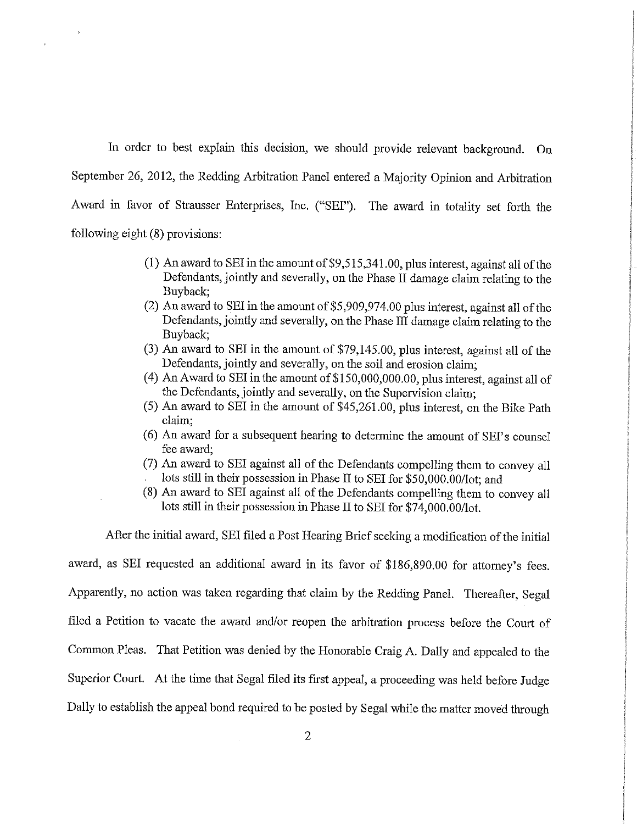In order to best explain this decision, we should provide relevant background. On September 26, 2012, the Redding Arbitration Panel entered a Majority Opinion and Arbitration Award in favor of Strausser Enterprises, Inc. ("SEI"). The award in totality set forth the following eight (8) provisions:

- $(1)$  An award to SEI in the amount of \$9,515,341.00, plus interest, against all of the Defendants, jointly and severally, on the Phase II damage claim relating to the Buyback:
- (2) An award to SEI in the amount of \$5,909,974.00 plus interest, against all of the Defendants, jointly and severally, on the Phase III damage claim relating to the Buyback:
- (3) An award to SEI in the amount of \$79,145.00, plus interest, against all of the Defendants, jointly and severally, on the soil and erosion claim;
- (4) An Award to SEI in the amount of \$150,000,000.00, plus interest, against all of the Defendants, jointly and severally, on the Supervision claim;
- (5) An award to SEI in the amount of \$45,261.00, plus interest, on the Bike Path claim:
- (6) An award for a subsequent hearing to determine the amount of SEI's counsel fee award:
- (7) An award to SEI against all of the Defendants compelling them to convey all lots still in their possession in Phase II to SEI for \$50,000.00/lot; and
- (8) An award to SEI against all of the Defendants compelling them to convey all lots still in their possession in Phase II to SEI for \$74,000.00/lot.

After the initial award, SEI filed a Post Hearing Brief seeking a modification of the initial

award, as SEI requested an additional award in its favor of \$186,890.00 for attorney's fees. Apparently, no action was taken regarding that claim by the Redding Panel. Thereafter, Segal filed a Petition to vacate the award and/or reopen the arbitration process before the Court of Common Pleas. That Petition was denied by the Honorable Craig A. Dally and appealed to the Superior Court. At the time that Segal filed its first appeal, a proceeding was held before Judge Dally to establish the appeal bond required to be posted by Segal while the matter moved through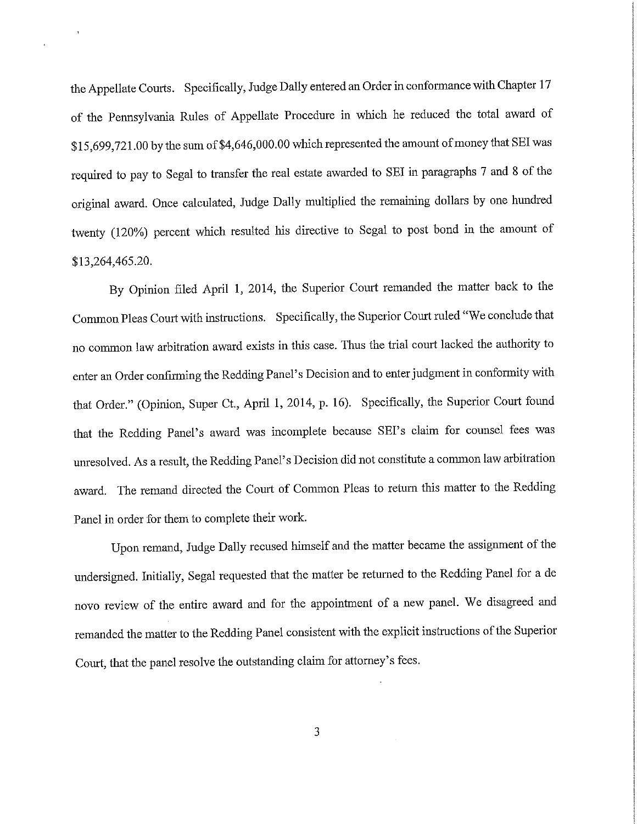the Appellate Courts. Specifically, Judge Dally entered an Order in conformance with Chapter 17 of the Pennsylvania Rules of Appellate Procedure in which he reduced the total award of \$15,699,721.00 by the sum of \$4,646,000.00 which represented the amount of money that SEI was required to pay to Segal to transfer the real estate awarded to SEI in paragraphs 7 and 8 of the original award. Once calculated, Judge Dally multiplied the remaining dollars by one hundred twenty (120%) percent which resulted his directive to Segal to post bond in the amount of \$13,264,465.20.

By Opinion filed April 1, 2014, the Superior Court remanded the matter back to the Common Pleas Court with instructions. Specifically, the Superior Court ruled "We conclude that no common law arbitration award exists in this case. Thus the trial court lacked the authority to enter an Order confirming the Redding Panel's Decision and to enter judgment in conformity with that Order." (Opinion, Super Ct., April 1, 2014, p. 16). Specifically, the Superior Court found that the Redding Panel's award was incomplete because SEI's claim for counsel fees was unresolved. As a result, the Redding Panel's Decision did not constitute a common law arbitration award. The remand directed the Court of Common Pleas to return this matter to the Redding Panel in order for them to complete their work.

Upon remand, Judge Dally recused himself and the matter became the assignment of the undersigned. Initially, Segal requested that the matter be returned to the Redding Panel for a de novo review of the entire award and for the appointment of a new panel. We disagreed and remanded the matter to the Redding Panel consistent with the explicit instructions of the Superior Court, that the panel resolve the outstanding claim for attorney's fees.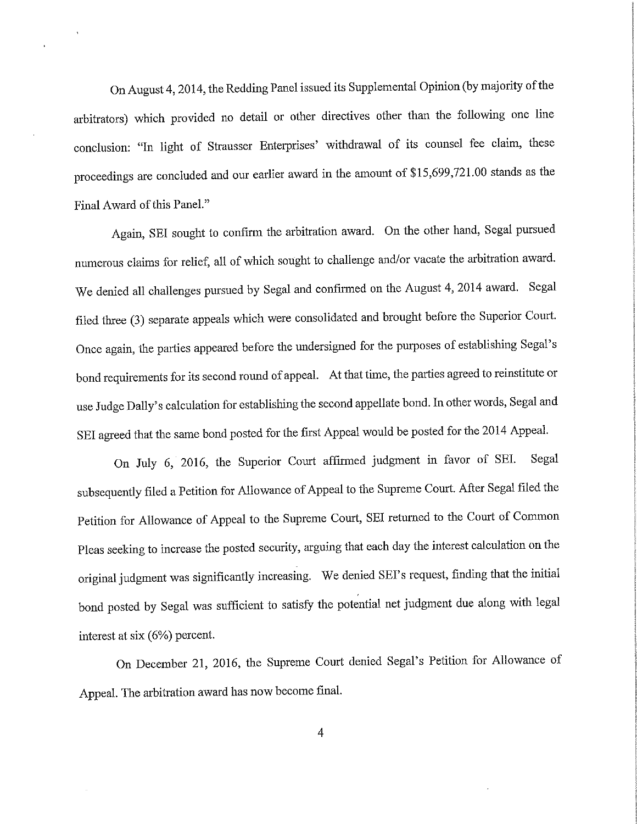On August 4, 2014, the Redding Panel issued its Supplemental Opinion (by majority of the arbitrators) which provided no detail or other directives other than the following one line conclusion: "In light of Strausser Enterprises' withdrawal of its counsel fee claim, these proceedings are concluded and our earlier award in the amount of \$15,699,721.00 stands as the Final Award of this Panel."

Again, SEI sought to confirm the arbitration award. On the other hand, Segal pursued numerous claims for relief, all of which sought to challenge and/or vacate the arbitration award. We denied all challenges pursued by Segal and confirmed on the August 4, 2014 award. Segal filed three (3) separate appeals which were consolidated and brought before the Superior Court. Once again, the parties appeared before the undersigned for the purposes of establishing Segal's bond requirements for its second round of appeal. At that time, the parties agreed to reinstitute or use Judge Dally's calculation for establishing the second appellate bond. In other words, Segal and SEI agreed that the same bond posted for the first Appeal would be posted for the 2014 Appeal.

On July 6, 2016, the Superior Court affirmed judgment in favor of SEI. Segal subsequently filed a Petition for Allowance of Appeal to the Supreme Court. After Segal filed the Petition for Allowance of Appeal to the Supreme Court, SEI returned to the Court of Common Pleas seeking to increase the posted security, arguing that each day the interest calculation on the original judgment was significantly increasing. We denied SEI's request, finding that the initial bond posted by Segal was sufficient to satisfy the potential net judgment due along with legal interest at six (6%) percent.

On December 21, 2016, the Supreme Court denied Segal's Petition for Allowance of Appeal. The arbitration award has now become final.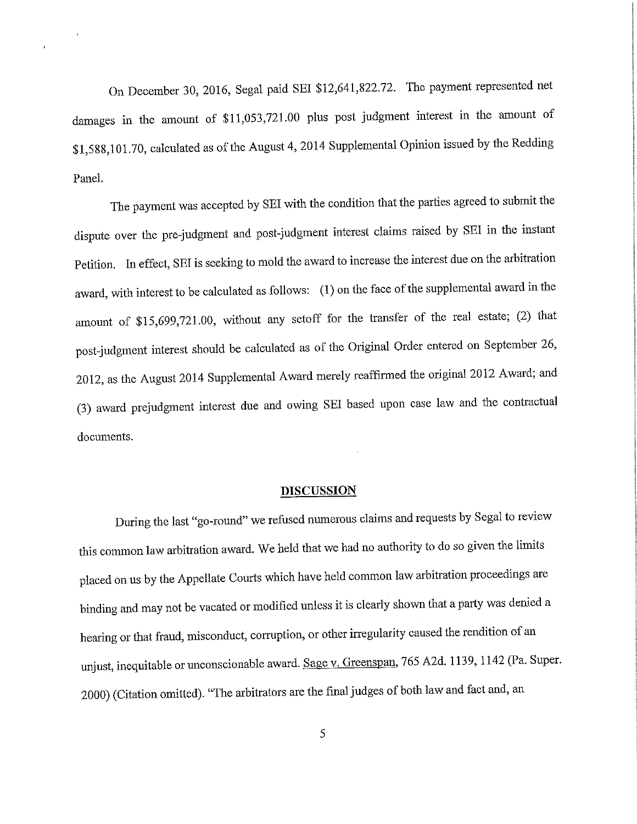On December 30, 2016, Segal paid SEI \$12,641,822.72. The payment represented net damages in the amount of \$11,053,721.00 plus post judgment interest in the amount of \$1,588,101.70, calculated as of the August 4, 2014 Supplemental Opinion issued by the Redding Panel.

The payment was accepted by SEI with the condition that the parties agreed to submit the dispute over the pre-judgment and post-judgment interest claims raised by SEI in the instant Petition. In effect, SEI is seeking to mold the award to increase the interest due on the arbitration award, with interest to be calculated as follows: (1) on the face of the supplemental award in the amount of \$15,699,721.00, without any setoff for the transfer of the real estate; (2) that post-judgment interest should be calculated as of the Original Order entered on September 26, 2012, as the August 2014 Supplemental Award merely reaffirmed the original 2012 Award; and (3) award prejudgment interest due and owing SEI based upon case law and the contractual documents.

#### **DISCUSSION**

During the last "go-round" we refused numerous claims and requests by Segal to review this common law arbitration award. We held that we had no authority to do so given the limits placed on us by the Appellate Courts which have held common law arbitration proceedings are binding and may not be vacated or modified unless it is clearly shown that a party was denied a hearing or that fraud, misconduct, corruption, or other irregularity caused the rendition of an unjust, inequitable or unconscionable award. Sage v. Greenspan, 765 A2d. 1139, 1142 (Pa. Super. 2000) (Citation omitted). "The arbitrators are the final judges of both law and fact and, an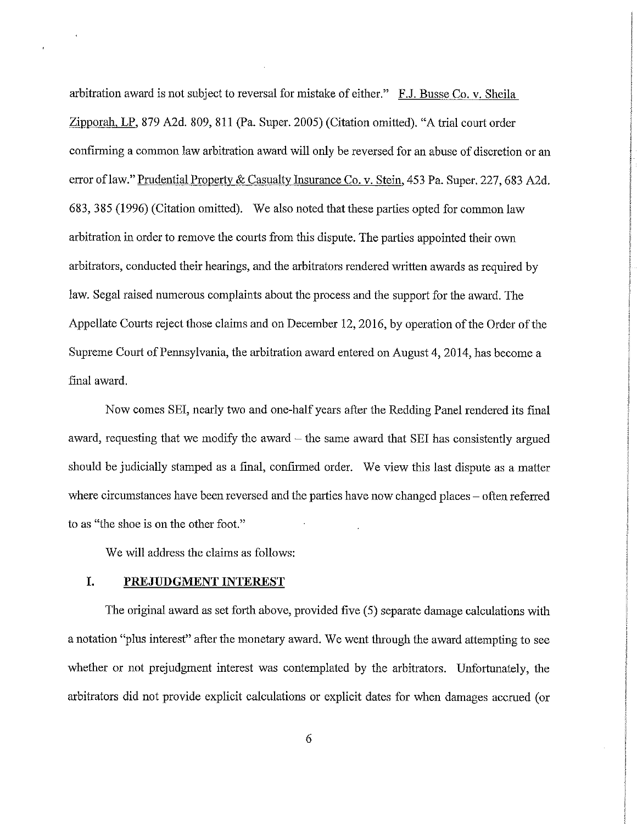arbitration award is not subject to reversal for mistake of either." F.J. Busse Co. v. Sheila Zipporah, LP, 879 A2d. 809, 811 (Pa. Super. 2005) (Citation omitted). "A trial court order confirming a common law arbitration award will only be reversed for an abuse of discretion or an error of law." Prudential Property & Casualty Insurance Co. v. Stein, 453 Pa. Super. 227, 683 A2d. 683, 385 (1996) (Citation omitted). We also noted that these parties opted for common law arbitration in order to remove the courts from this dispute. The parties appointed their own arbitrators, conducted their hearings, and the arbitrators rendered written awards as required by law. Segal raised numerous complaints about the process and the support for the award. The Appellate Courts reject those claims and on December 12, 2016, by operation of the Order of the Supreme Court of Pennsylvania, the arbitration award entered on August 4, 2014, has become a final award.

Now comes SEI, nearly two and one-half years after the Redding Panel rendered its final award, requesting that we modify the award  $-$  the same award that SEI has consistently argued should be judicially stamped as a final, confirmed order. We view this last dispute as a matter where circumstances have been reversed and the parties have now changed places – often referred to as "the shoe is on the other foot."

We will address the claims as follows:

#### I. PREJUDGMENT INTEREST

The original award as set forth above, provided five (5) separate damage calculations with a notation "plus interest" after the monetary award. We went through the award attempting to see whether or not prejudgment interest was contemplated by the arbitrators. Unfortunately, the arbitrators did not provide explicit calculations or explicit dates for when damages accrued (or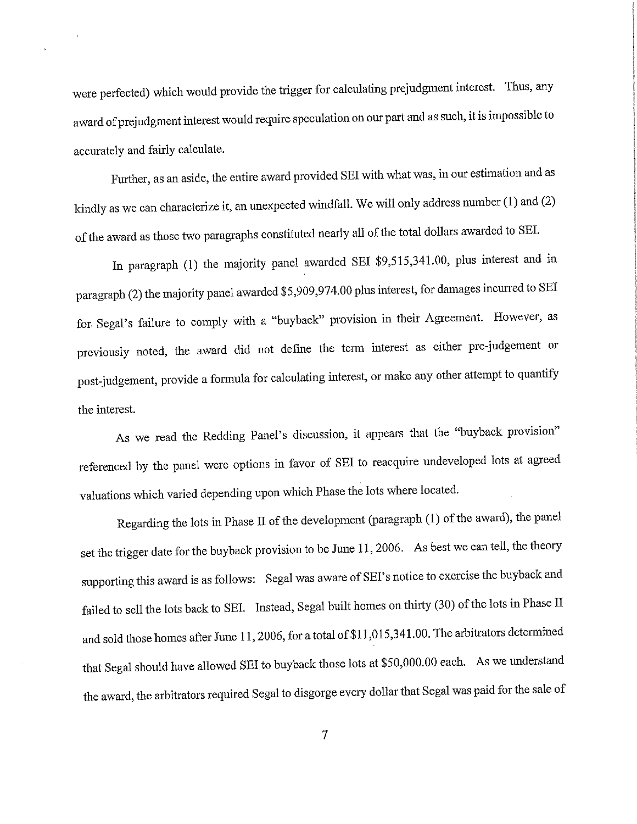were perfected) which would provide the trigger for calculating prejudgment interest. Thus, any award of prejudgment interest would require speculation on our part and as such, it is impossible to accurately and fairly calculate.

Further, as an aside, the entire award provided SEI with what was, in our estimation and as kindly as we can characterize it, an unexpected windfall. We will only address number (1) and (2) of the award as those two paragraphs constituted nearly all of the total dollars awarded to SEI.

In paragraph (1) the majority panel awarded SEI \$9,515,341.00, plus interest and in paragraph (2) the majority panel awarded \$5,909,974.00 plus interest, for damages incurred to SEI for Segal's failure to comply with a "buyback" provision in their Agreement. However, as previously noted, the award did not define the term interest as either pre-judgement or post-judgement, provide a formula for calculating interest, or make any other attempt to quantify the interest.

As we read the Redding Panel's discussion, it appears that the "buyback provision" referenced by the panel were options in favor of SEI to reacquire undeveloped lots at agreed valuations which varied depending upon which Phase the lots where located.

Regarding the lots in Phase II of the development (paragraph (1) of the award), the panel set the trigger date for the buyback provision to be June 11, 2006. As best we can tell, the theory supporting this award is as follows: Segal was aware of SEI's notice to exercise the buyback and failed to sell the lots back to SEI. Instead, Segal built homes on thirty (30) of the lots in Phase II and sold those homes after June 11, 2006, for a total of \$11,015,341.00. The arbitrators determined that Segal should have allowed SEI to buyback those lots at \$50,000.00 each. As we understand the award, the arbitrators required Segal to disgorge every dollar that Segal was paid for the sale of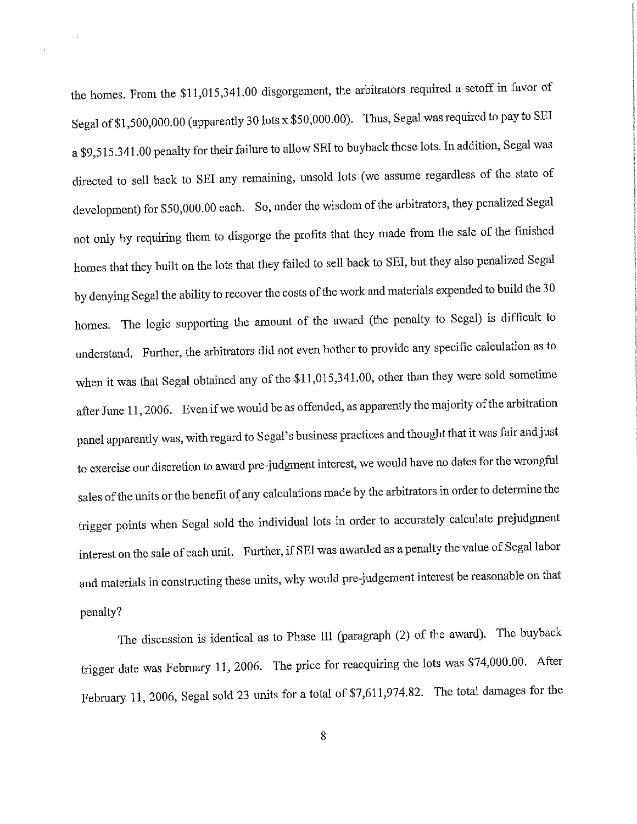the homes. From the \$11,015,341.00 disgorgement, the arbitrators required a setoff in favor of Segal of \$1,500,000.00 (apparently 30 lots x \$50,000.00). Thus, Segal was required to pay to SEI a \$9,515.341.00 penalty for their failure to allow SEI to buyback those lots. In addition, Segal was directed to sell back to SEI any remaining, unsold lots (we assume regardless of the state of development) for \$50,000.00 each. So, under the wisdom of the arbitrators, they penalized Segal not only by requiring them to disgorge the profits that they made from the sale of the finished homes that they built on the lots that they failed to sell back to SEI, but they also penalized Segal by denying Segal the ability to recover the costs of the work and materials expended to build the 30 homes. The logic supporting the amount of the award (the penalty to Segal) is difficult to understand. Further, the arbitrators did not even bother to provide any specific calculation as to when it was that Segal obtained any of the \$11,015,341.00, other than they were sold sometime after June 11, 2006. Even if we would be as offended, as apparently the majority of the arbitration panel apparently was, with regard to Segal's business practices and thought that it was fair and just to exercise our discretion to award pre-judgment interest, we would have no dates for the wrongful sales of the units or the benefit of any calculations made by the arbitrators in order to determine the trigger points when Segal sold the individual lots in order to accurately calculate prejudgment interest on the sale of each unit. Further, if SEI was awarded as a penalty the value of Segal labor and materials in constructing these units, why would pre-judgement interest be reasonable on that penalty?

The discussion is identical as to Phase III (paragraph (2) of the award). The buyback trigger date was February 11, 2006. The price for reacquiring the lots was \$74,000.00. After February 11, 2006, Segal sold 23 units for a total of \$7,611,974.82. The total damages for the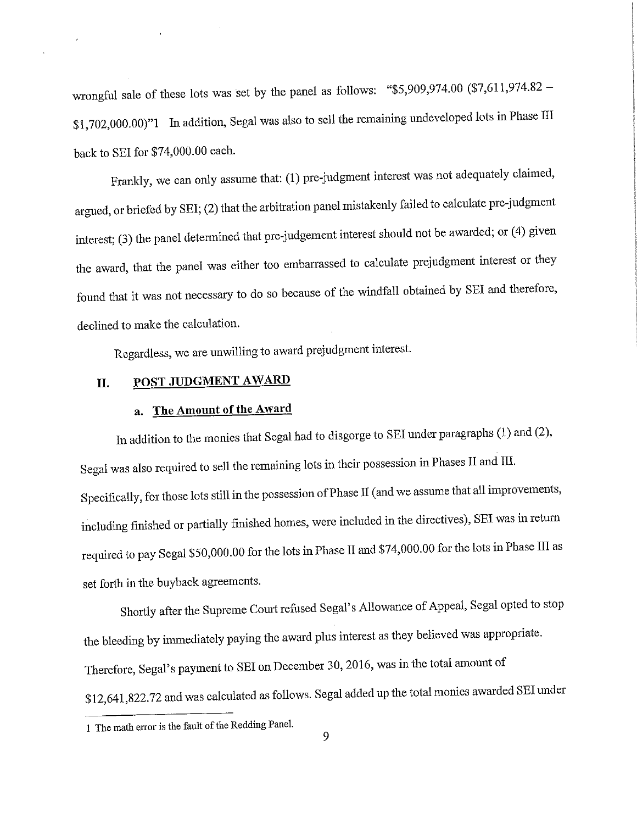wrongful sale of these lots was set by the panel as follows: "\$5,909,974.00  $(\$7,611,974.82$  -\$1,702,000.00)"1 In addition, Segal was also to sell the remaining undeveloped lots in Phase III back to SEI for \$74,000.00 each.

Frankly, we can only assume that: (1) pre-judgment interest was not adequately claimed, argued, or briefed by SEI; (2) that the arbitration panel mistakenly failed to calculate pre-judgment interest; (3) the panel determined that pre-judgement interest should not be awarded; or (4) given the award, that the panel was either too embarrassed to calculate prejudgment interest or they found that it was not necessary to do so because of the windfall obtained by SEI and therefore, declined to make the calculation.

Regardless, we are unwilling to award prejudgment interest.

#### POST JUDGMENT AWARD II.

# a. The Amount of the Award

In addition to the monies that Segal had to disgorge to SEI under paragraphs (1) and (2), Segal was also required to sell the remaining lots in their possession in Phases II and III. Specifically, for those lots still in the possession of Phase II (and we assume that all improvements, including finished or partially finished homes, were included in the directives), SEI was in return required to pay Segal \$50,000.00 for the lots in Phase II and \$74,000.00 for the lots in Phase III as set forth in the buyback agreements.

Shortly after the Supreme Court refused Segal's Allowance of Appeal, Segal opted to stop the bleeding by immediately paying the award plus interest as they believed was appropriate. Therefore, Segal's payment to SEI on December 30, 2016, was in the total amount of \$12,641,822.72 and was calculated as follows. Segal added up the total monies awarded SEI under

<sup>1</sup> The math error is the fault of the Redding Panel.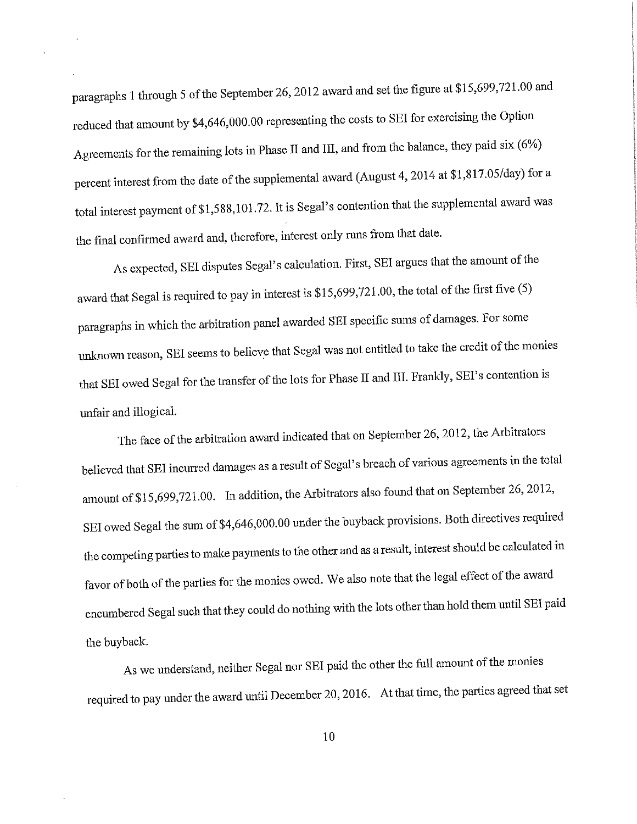paragraphs 1 through 5 of the September 26, 2012 award and set the figure at \$15,699,721.00 and reduced that amount by \$4,646,000.00 representing the costs to SEI for exercising the Option Agreements for the remaining lots in Phase II and III, and from the balance, they paid six (6%) percent interest from the date of the supplemental award (August 4, 2014 at \$1,817.05/day) for a total interest payment of \$1,588,101.72. It is Segal's contention that the supplemental award was the final confirmed award and, therefore, interest only runs from that date.

As expected, SEI disputes Segal's calculation. First, SEI argues that the amount of the award that Segal is required to pay in interest is \$15,699,721.00, the total of the first five (5) paragraphs in which the arbitration panel awarded SEI specific sums of damages. For some unknown reason, SEI seems to believe that Segal was not entitled to take the credit of the monies that SEI owed Segal for the transfer of the lots for Phase II and III. Frankly, SEI's contention is unfair and illogical.

The face of the arbitration award indicated that on September 26, 2012, the Arbitrators believed that SEI incurred damages as a result of Segal's breach of various agreements in the total amount of \$15,699,721.00. In addition, the Arbitrators also found that on September 26, 2012, SEI owed Segal the sum of \$4,646,000.00 under the buyback provisions. Both directives required the competing parties to make payments to the other and as a result, interest should be calculated in favor of both of the parties for the monies owed. We also note that the legal effect of the award encumbered Segal such that they could do nothing with the lots other than hold them until SEI paid the buyback.

As we understand, neither Segal nor SEI paid the other the full amount of the monies required to pay under the award until December 20, 2016. At that time, the parties agreed that set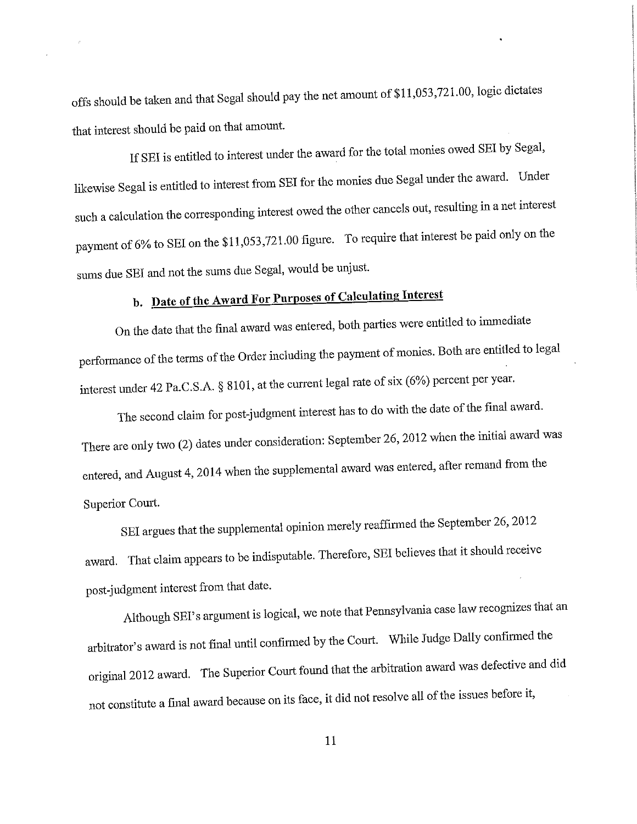offs should be taken and that Segal should pay the net amount of \$11,053,721.00, logic dictates that interest should be paid on that amount.

If SEI is entitled to interest under the award for the total monies owed SEI by Segal, likewise Segal is entitled to interest from SEI for the monies due Segal under the award. Under such a calculation the corresponding interest owed the other cancels out, resulting in a net interest payment of 6% to SEI on the \$11,053,721.00 figure. To require that interest be paid only on the sums due SEI and not the sums due Segal, would be unjust.

# b. Date of the Award For Purposes of Calculating Interest

On the date that the final award was entered, both parties were entitled to immediate performance of the terms of the Order including the payment of monies. Both are entitled to legal interest under 42 Pa.C.S.A. § 8101, at the current legal rate of six (6%) percent per year.

The second claim for post-judgment interest has to do with the date of the final award. There are only two (2) dates under consideration: September 26, 2012 when the initial award was entered, and August 4, 2014 when the supplemental award was entered, after remand from the Superior Court.

SEI argues that the supplemental opinion merely reaffirmed the September 26, 2012 award. That claim appears to be indisputable. Therefore, SEI believes that it should receive post-judgment interest from that date.

Although SEI's argument is logical, we note that Pennsylvania case law recognizes that an arbitrator's award is not final until confirmed by the Court. While Judge Dally confirmed the original 2012 award. The Superior Court found that the arbitration award was defective and did not constitute a final award because on its face, it did not resolve all of the issues before it,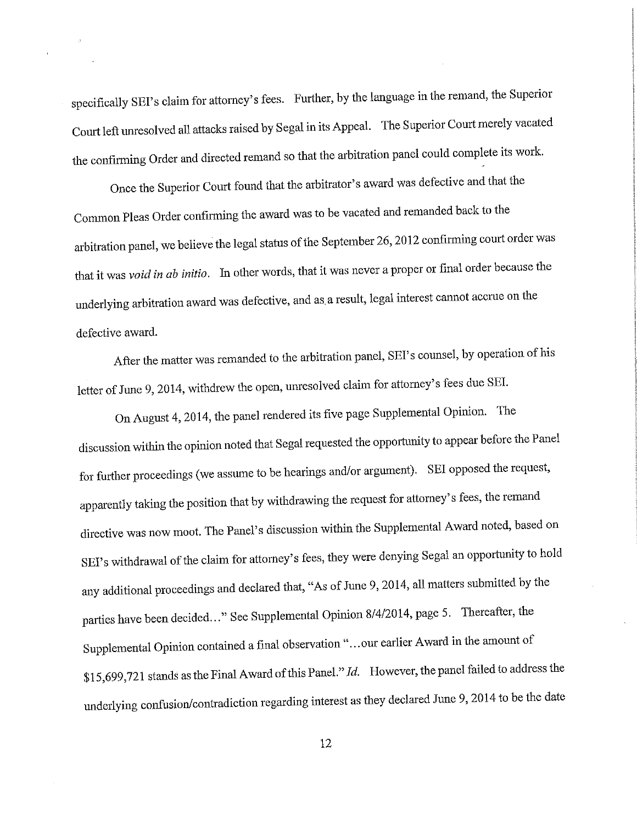specifically SEI's claim for attorney's fees. Further, by the language in the remand, the Superior Court left unresolved all attacks raised by Segal in its Appeal. The Superior Court merely vacated the confirming Order and directed remand so that the arbitration panel could complete its work.

Once the Superior Court found that the arbitrator's award was defective and that the Common Pleas Order confirming the award was to be vacated and remanded back to the arbitration panel, we believe the legal status of the September 26, 2012 confirming court order was that it was void in ab initio. In other words, that it was never a proper or final order because the underlying arbitration award was defective, and as a result, legal interest cannot accrue on the defective award.

After the matter was remanded to the arbitration panel, SEI's counsel, by operation of his letter of June 9, 2014, withdrew the open, unresolved claim for attorney's fees due SEI.

On August 4, 2014, the panel rendered its five page Supplemental Opinion. The discussion within the opinion noted that Segal requested the opportunity to appear before the Panel for further proceedings (we assume to be hearings and/or argument). SEI opposed the request, apparently taking the position that by withdrawing the request for attorney's fees, the remand directive was now moot. The Panel's discussion within the Supplemental Award noted, based on SEI's withdrawal of the claim for attorney's fees, they were denying Segal an opportunity to hold any additional proceedings and declared that, "As of June 9, 2014, all matters submitted by the parties have been decided..." See Supplemental Opinion 8/4/2014, page 5. Thereafter, the Supplemental Opinion contained a final observation "...our earlier Award in the amount of \$15,699,721 stands as the Final Award of this Panel." Id. However, the panel failed to address the underlying confusion/contradiction regarding interest as they declared June 9, 2014 to be the date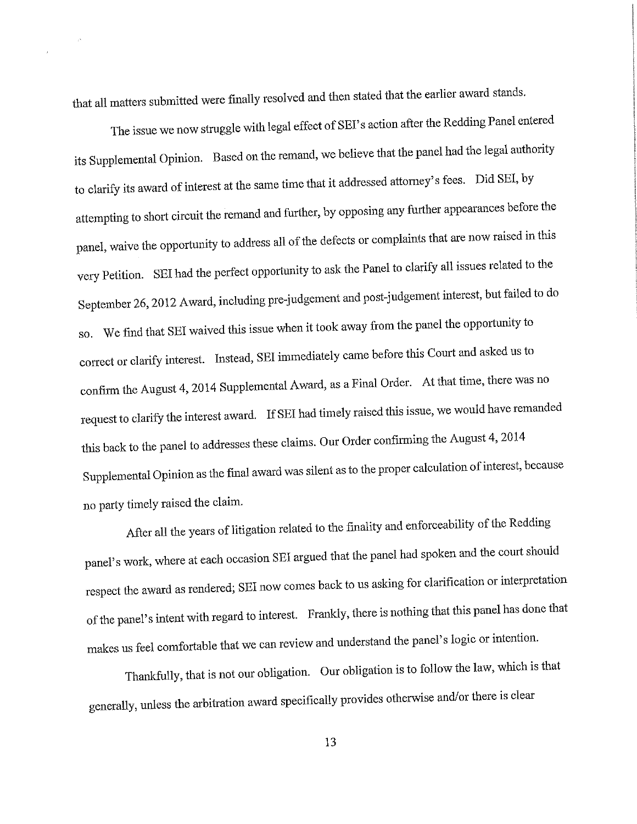that all matters submitted were finally resolved and then stated that the earlier award stands.

The issue we now struggle with legal effect of SEI's action after the Redding Panel entered its Supplemental Opinion. Based on the remand, we believe that the panel had the legal authority to clarify its award of interest at the same time that it addressed attorney's fees. Did SEI, by attempting to short circuit the remand and further, by opposing any further appearances before the panel, waive the opportunity to address all of the defects or complaints that are now raised in this very Petition. SEI had the perfect opportunity to ask the Panel to clarify all issues related to the September 26, 2012 Award, including pre-judgement and post-judgement interest, but failed to do so. We find that SEI waived this issue when it took away from the panel the opportunity to correct or clarify interest. Instead, SEI immediately came before this Court and asked us to confirm the August 4, 2014 Supplemental Award, as a Final Order. At that time, there was no request to clarify the interest award. If SEI had timely raised this issue, we would have remanded this back to the panel to addresses these claims. Our Order confirming the August 4, 2014 Supplemental Opinion as the final award was silent as to the proper calculation of interest, because no party timely raised the claim.

After all the years of litigation related to the finality and enforceability of the Redding panel's work, where at each occasion SEI argued that the panel had spoken and the court should respect the award as rendered; SEI now comes back to us asking for clarification or interpretation of the panel's intent with regard to interest. Frankly, there is nothing that this panel has done that makes us feel comfortable that we can review and understand the panel's logic or intention.

Thankfully, that is not our obligation. Our obligation is to follow the law, which is that generally, unless the arbitration award specifically provides otherwise and/or there is clear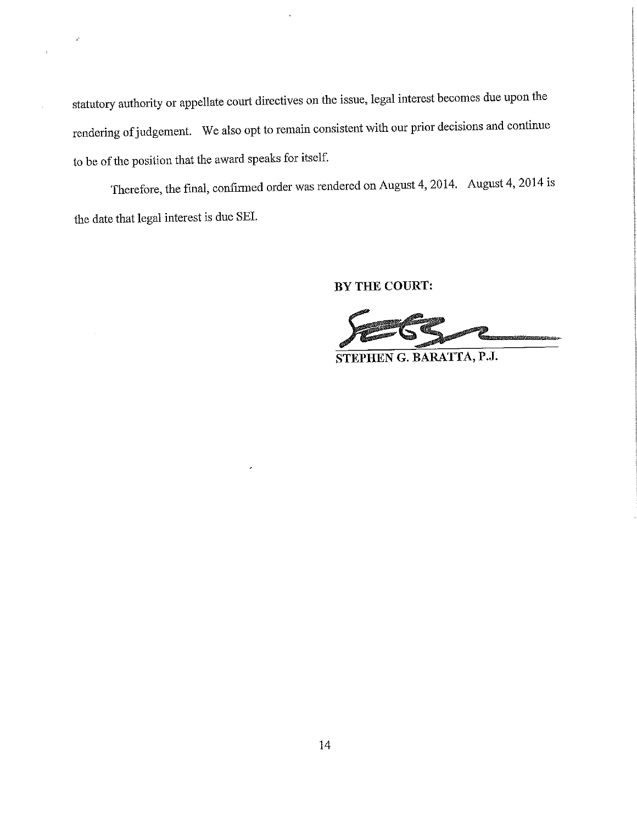statutory authority or appellate court directives on the issue, legal interest becomes due upon the rendering of judgement. We also opt to remain consistent with our prior decisions and continue to be of the position that the award speaks for itself.

 $\hat{C}$ 

 $\overline{\mathbf{A}}$ 

J.

Therefore, the final, confirmed order was rendered on August 4, 2014. August 4, 2014 is the date that legal interest is due SEI.

BY THE COURT:

STEPHEN G. BARATTA, P.J.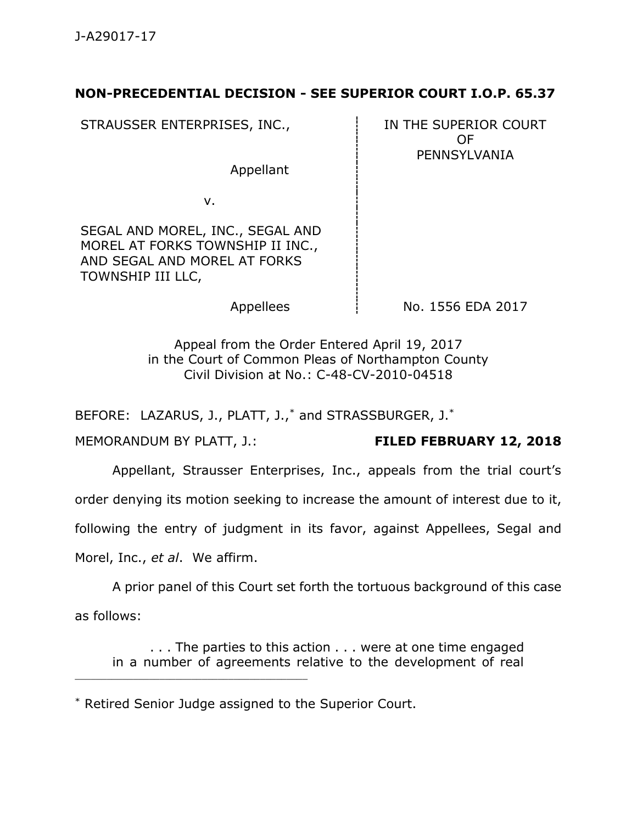# **NON-PRECEDENTIAL DECISION - SEE SUPERIOR COURT I.O.P. 65.37**

STRAUSSER ENTERPRISES, INC., Fig. 7.1. IN THE SUPERIOR COURT

Appellant

OF PENNSYLVANIA

v.

SEGAL AND MOREL, INC., SEGAL AND MOREL AT FORKS TOWNSHIP II INC., AND SEGAL AND MOREL AT FORKS TOWNSHIP III LLC,

Appellees  $\parallel$  No. 1556 EDA 2017

Appeal from the Order Entered April 19, 2017 in the Court of Common Pleas of Northampton County Civil Division at No.: C-48-CV-2010-04518

BEFORE: LAZARUS, J., PLATT, J.,\* and STRASSBURGER, J.\*

MEMORANDUM BY PLATT, J.: **FILED FEBRUARY 12, 2018**

Appellant, Strausser Enterprises, Inc., appeals from the trial court's

order denying its motion seeking to increase the amount of interest due to it,

following the entry of judgment in its favor, against Appellees, Segal and

Morel, Inc., *et al*. We affirm.

\_\_\_\_\_\_\_\_\_\_\_\_\_\_\_\_\_\_\_\_\_\_\_\_\_\_\_\_\_\_\_\_\_\_\_\_\_\_\_\_\_\_\_\_

A prior panel of this Court set forth the tortuous background of this case as follows:

. . . The parties to this action . . . were at one time engaged in a number of agreements relative to the development of real

<sup>\*</sup> Retired Senior Judge assigned to the Superior Court.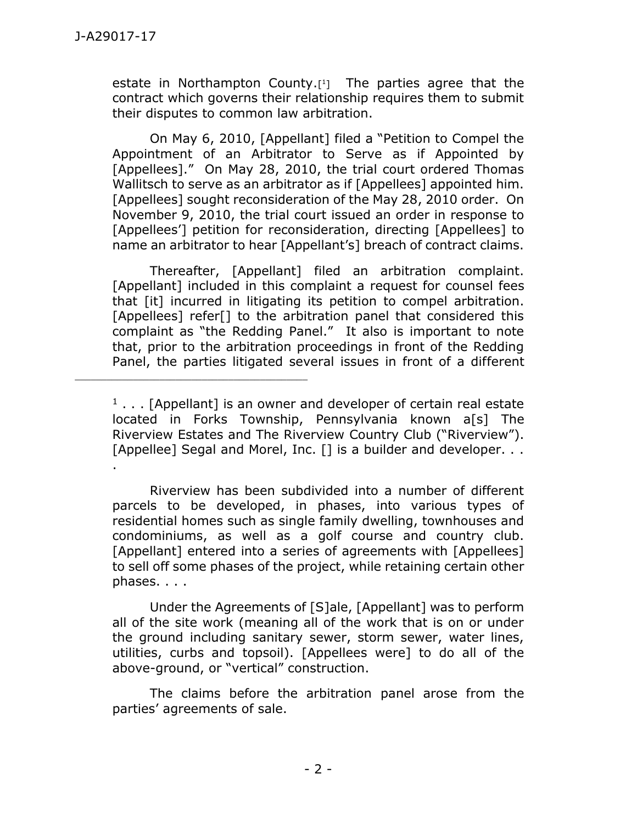estate in Northampton County.[ <sup>1</sup>] The parties agree that the contract which governs their relationship requires them to submit their disputes to common law arbitration.

On May 6, 2010, [Appellant] filed a "Petition to Compel the Appointment of an Arbitrator to Serve as if Appointed by [Appellees]." On May 28, 2010, the trial court ordered Thomas Wallitsch to serve as an arbitrator as if [Appellees] appointed him. [Appellees] sought reconsideration of the May 28, 2010 order. On November 9, 2010, the trial court issued an order in response to [Appellees<sup>'</sup>] petition for reconsideration, directing [Appellees] to name an arbitrator to hear [Appellant's] breach of contract claims.

Thereafter, [Appellant] filed an arbitration complaint. [Appellant] included in this complaint a request for counsel fees that [it] incurred in litigating its petition to compel arbitration. [Appellees] refer<sup>[]</sup> to the arbitration panel that considered this complaint as "the Redding Panel." It also is important to note that, prior to the arbitration proceedings in front of the Redding Panel, the parties litigated several issues in front of a different

 $1$ ... [Appellant] is an owner and developer of certain real estate located in Forks Township, Pennsylvania known a[s] The Riverview Estates and The Riverview Country Club ("Riverview"). [Appellee] Segal and Morel, Inc. [] is a builder and developer. . . .

\_\_\_\_\_\_\_\_\_\_\_\_\_\_\_\_\_\_\_\_\_\_\_\_\_\_\_\_\_\_\_\_\_\_\_\_\_\_\_\_\_\_\_\_

Riverview has been subdivided into a number of different parcels to be developed, in phases, into various types of residential homes such as single family dwelling, townhouses and condominiums, as well as a golf course and country club. [Appellant] entered into a series of agreements with [Appellees] to sell off some phases of the project, while retaining certain other phases. . . .

Under the Agreements of [S]ale, [Appellant] was to perform all of the site work (meaning all of the work that is on or under the ground including sanitary sewer, storm sewer, water lines, utilities, curbs and topsoil). [Appellees were] to do all of the above-ground, or "vertical" construction.

The claims before the arbitration panel arose from the parties' agreements of sale.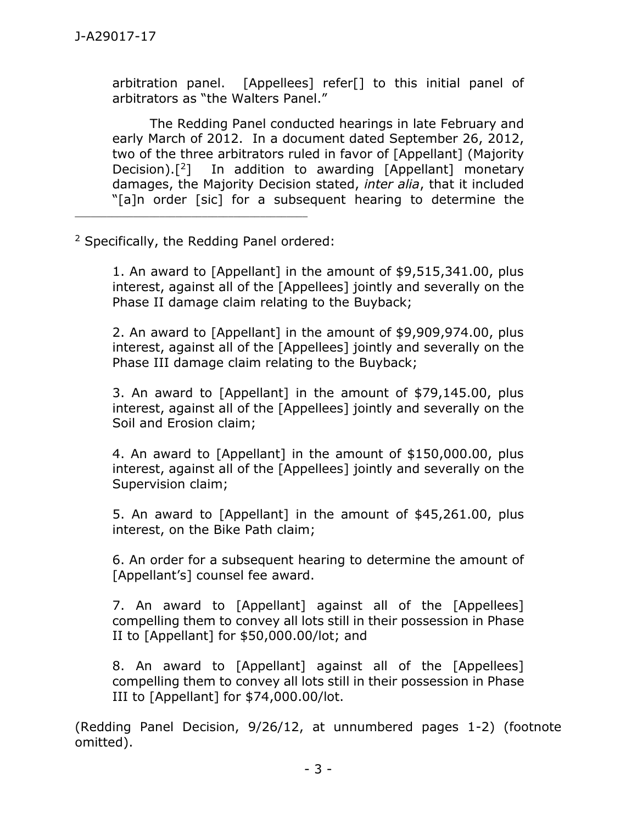arbitration panel. [Appellees] refer[] to this initial panel of arbitrators as "the Walters Panel."

The Redding Panel conducted hearings in late February and early March of 2012. In a document dated September 26, 2012, two of the three arbitrators ruled in favor of [Appellant] (Majority Decision).<sup>[2]</sup> In addition to awarding [Appellant] monetary damages, the Majority Decision stated, *inter alia*, that it included "[a]n order [sic] for a subsequent hearing to determine the

<sup>2</sup> Specifically, the Redding Panel ordered:

\_\_\_\_\_\_\_\_\_\_\_\_\_\_\_\_\_\_\_\_\_\_\_\_\_\_\_\_\_\_\_\_\_\_\_\_\_\_\_\_\_\_\_\_

1. An award to [Appellant] in the amount of \$9,515,341.00, plus interest, against all of the [Appellees] jointly and severally on the Phase II damage claim relating to the Buyback;

2. An award to [Appellant] in the amount of \$9,909,974.00, plus interest, against all of the [Appellees] jointly and severally on the Phase III damage claim relating to the Buyback;

3. An award to [Appellant] in the amount of \$79,145.00, plus interest, against all of the [Appellees] jointly and severally on the Soil and Erosion claim;

4. An award to [Appellant] in the amount of \$150,000.00, plus interest, against all of the [Appellees] jointly and severally on the Supervision claim;

5. An award to [Appellant] in the amount of \$45,261.00, plus interest, on the Bike Path claim;

6. An order for a subsequent hearing to determine the amount of [Appellant's] counsel fee award.

7. An award to [Appellant] against all of the [Appellees] compelling them to convey all lots still in their possession in Phase II to [Appellant] for \$50,000.00/lot; and

8. An award to [Appellant] against all of the [Appellees] compelling them to convey all lots still in their possession in Phase III to [Appellant] for \$74,000.00/lot.

(Redding Panel Decision, 9/26/12, at unnumbered pages 1-2) (footnote omitted).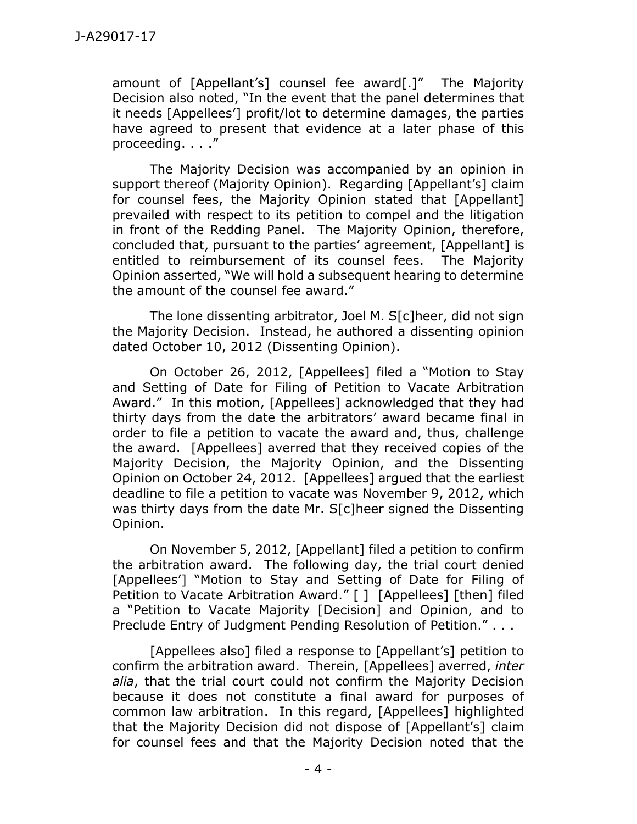amount of [Appellant's] counsel fee award[.]" The Majority Decision also noted, "In the event that the panel determines that it needs [Appellees'] profit/lot to determine damages, the parties have agreed to present that evidence at a later phase of this proceeding. . . ."

The Majority Decision was accompanied by an opinion in support thereof (Majority Opinion). Regarding [Appellant's] claim for counsel fees, the Majority Opinion stated that [Appellant] prevailed with respect to its petition to compel and the litigation in front of the Redding Panel. The Majority Opinion, therefore, concluded that, pursuant to the parties' agreement, [Appellant] is entitled to reimbursement of its counsel fees. The Majority Opinion asserted, "We will hold a subsequent hearing to determine the amount of the counsel fee award."

The lone dissenting arbitrator, Joel M. S[c]heer, did not sign the Majority Decision. Instead, he authored a dissenting opinion dated October 10, 2012 (Dissenting Opinion).

On October 26, 2012, [Appellees] filed a "Motion to Stay and Setting of Date for Filing of Petition to Vacate Arbitration Award." In this motion, [Appellees] acknowledged that they had thirty days from the date the arbitrators' award became final in order to file a petition to vacate the award and, thus, challenge the award. [Appellees] averred that they received copies of the Majority Decision, the Majority Opinion, and the Dissenting Opinion on October 24, 2012. [Appellees] argued that the earliest deadline to file a petition to vacate was November 9, 2012, which was thirty days from the date Mr. S[c]heer signed the Dissenting Opinion.

On November 5, 2012, [Appellant] filed a petition to confirm the arbitration award. The following day, the trial court denied [Appellees<sup>'</sup>] "Motion to Stay and Setting of Date for Filing of Petition to Vacate Arbitration Award." [ ] [Appellees] [then] filed a "Petition to Vacate Majority [Decision] and Opinion, and to Preclude Entry of Judgment Pending Resolution of Petition." . . .

[Appellees also] filed a response to [Appellant's] petition to confirm the arbitration award. Therein, [Appellees] averred, *inter alia*, that the trial court could not confirm the Majority Decision because it does not constitute a final award for purposes of common law arbitration. In this regard, [Appellees] highlighted that the Majority Decision did not dispose of [Appellant's] claim for counsel fees and that the Majority Decision noted that the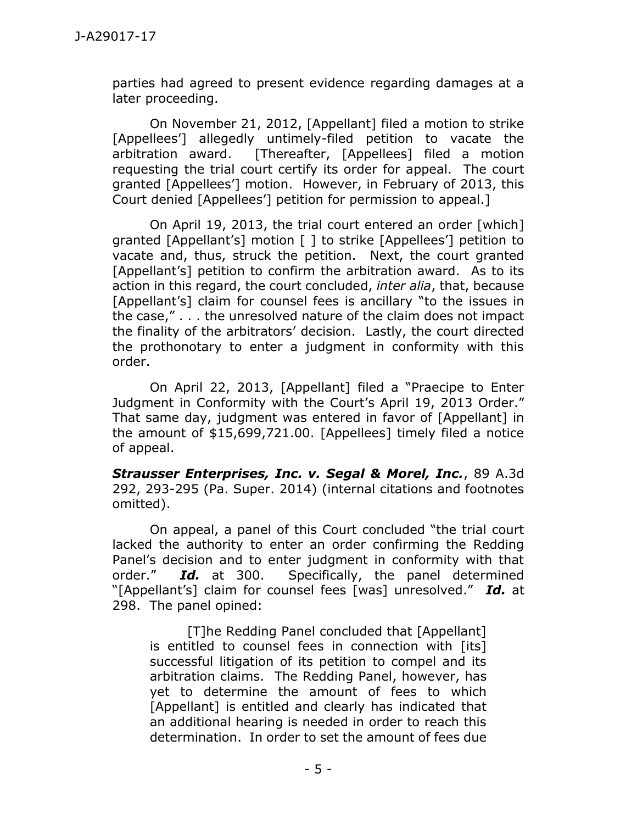parties had agreed to present evidence regarding damages at a later proceeding.

On November 21, 2012, [Appellant] filed a motion to strike [Appellees'] allegedly untimely-filed petition to vacate the arbitration award. [Thereafter, [Appellees] filed a motion requesting the trial court certify its order for appeal. The court granted [Appellees'] motion. However, in February of 2013, this Court denied [Appellees'] petition for permission to appeal.]

On April 19, 2013, the trial court entered an order [which] granted [Appellant's] motion [ ] to strike [Appellees'] petition to vacate and, thus, struck the petition. Next, the court granted [Appellant's] petition to confirm the arbitration award. As to its action in this regard, the court concluded, *inter alia*, that, because [Appellant's] claim for counsel fees is ancillary "to the issues in the case," . . . the unresolved nature of the claim does not impact the finality of the arbitrators' decision. Lastly, the court directed the prothonotary to enter a judgment in conformity with this order.

On April 22, 2013, [Appellant] filed a "Praecipe to Enter Judgment in Conformity with the Court's April 19, 2013 Order." That same day, judgment was entered in favor of [Appellant] in the amount of \$15,699,721.00. [Appellees] timely filed a notice of appeal.

*Strausser Enterprises, Inc. v. Segal & Morel, Inc.*, 89 A.3d 292, 293-295 (Pa. Super. 2014) (internal citations and footnotes omitted).

On appeal, a panel of this Court concluded "the trial court lacked the authority to enter an order confirming the Redding Panel's decision and to enter judgment in conformity with that order." *Id.* at 300. Specifically, the panel determined "[Appellant's] claim for counsel fees [was] unresolved." *Id.* at 298. The panel opined:

[T]he Redding Panel concluded that [Appellant] is entitled to counsel fees in connection with [its] successful litigation of its petition to compel and its arbitration claims. The Redding Panel, however, has yet to determine the amount of fees to which [Appellant] is entitled and clearly has indicated that an additional hearing is needed in order to reach this determination. In order to set the amount of fees due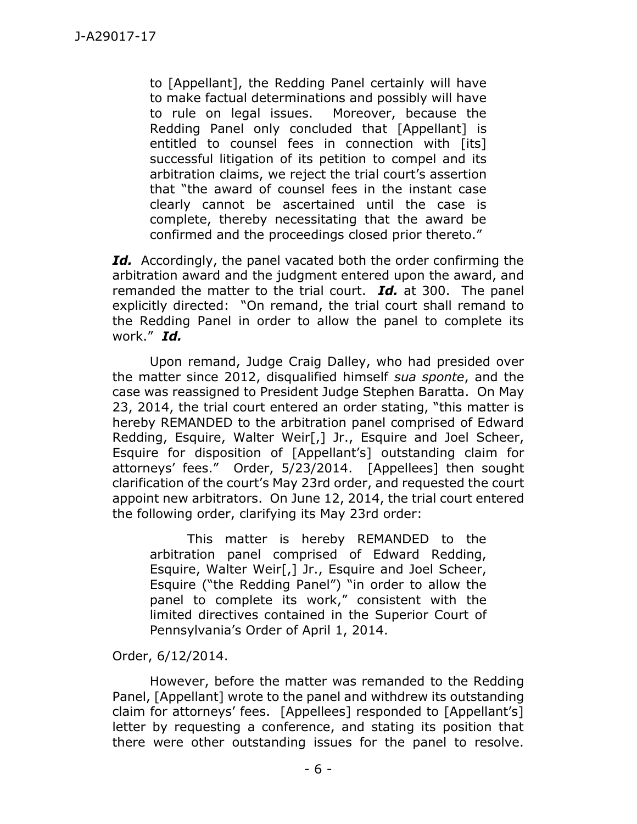to [Appellant], the Redding Panel certainly will have to make factual determinations and possibly will have to rule on legal issues. Moreover, because the Redding Panel only concluded that [Appellant] is entitled to counsel fees in connection with [its] successful litigation of its petition to compel and its arbitration claims, we reject the trial court's assertion that "the award of counsel fees in the instant case clearly cannot be ascertained until the case is complete, thereby necessitating that the award be confirmed and the proceedings closed prior thereto."

*Id.* Accordingly, the panel vacated both the order confirming the arbitration award and the judgment entered upon the award, and remanded the matter to the trial court. *Id.* at 300. The panel explicitly directed: "On remand, the trial court shall remand to the Redding Panel in order to allow the panel to complete its work." *Id.*

Upon remand, Judge Craig Dalley, who had presided over the matter since 2012, disqualified himself *sua sponte*, and the case was reassigned to President Judge Stephen Baratta. On May 23, 2014, the trial court entered an order stating, "this matter is hereby REMANDED to the arbitration panel comprised of Edward Redding, Esquire, Walter Weir[,] Jr., Esquire and Joel Scheer, Esquire for disposition of [Appellant's] outstanding claim for attorneys' fees." Order, 5/23/2014. [Appellees] then sought clarification of the court's May 23rd order, and requested the court appoint new arbitrators. On June 12, 2014, the trial court entered the following order, clarifying its May 23rd order:

This matter is hereby REMANDED to the arbitration panel comprised of Edward Redding, Esquire, Walter Weir[,] Jr., Esquire and Joel Scheer, Esquire ("the Redding Panel") "in order to allow the panel to complete its work," consistent with the limited directives contained in the Superior Court of Pennsylvania's Order of April 1, 2014.

Order, 6/12/2014.

However, before the matter was remanded to the Redding Panel, [Appellant] wrote to the panel and withdrew its outstanding claim for attorneys' fees. [Appellees] responded to [Appellant's] letter by requesting a conference, and stating its position that there were other outstanding issues for the panel to resolve.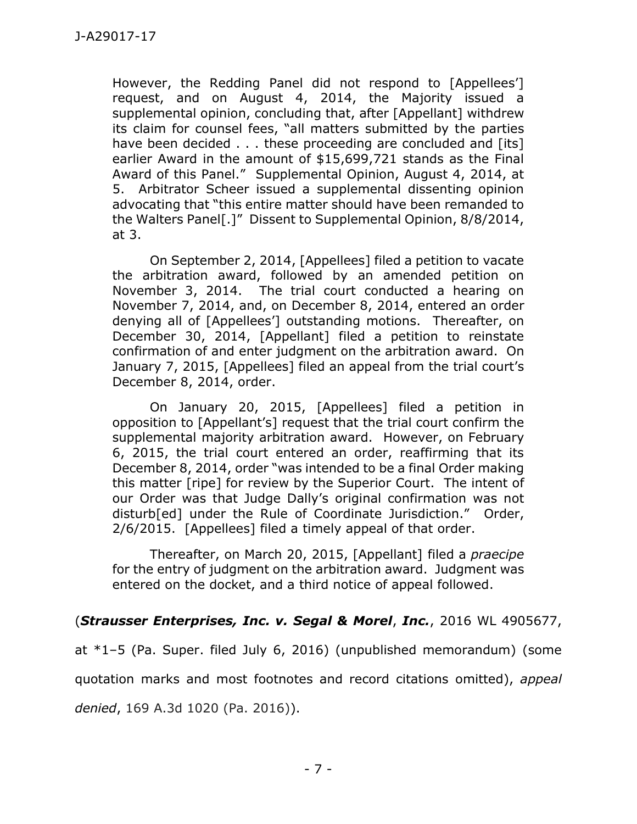However, the Redding Panel did not respond to [Appellees'] request, and on August 4, 2014, the Majority issued a supplemental opinion, concluding that, after [Appellant] withdrew its claim for counsel fees, "all matters submitted by the parties have been decided . . . these proceeding are concluded and [its] earlier Award in the amount of \$15,699,721 stands as the Final Award of this Panel." Supplemental Opinion, August 4, 2014, at 5. Arbitrator Scheer issued a supplemental dissenting opinion advocating that "this entire matter should have been remanded to the Walters Panel[.]" Dissent to Supplemental Opinion, 8/8/2014, at 3.

On September 2, 2014, [Appellees] filed a petition to vacate the arbitration award, followed by an amended petition on November 3, 2014. The trial court conducted a hearing on November 7, 2014, and, on December 8, 2014, entered an order denying all of [Appellees'] outstanding motions. Thereafter, on December 30, 2014, [Appellant] filed a petition to reinstate confirmation of and enter judgment on the arbitration award. On January 7, 2015, [Appellees] filed an appeal from the trial court's December 8, 2014, order.

On January 20, 2015, [Appellees] filed a petition in opposition to [Appellant's] request that the trial court confirm the supplemental majority arbitration award. However, on February 6, 2015, the trial court entered an order, reaffirming that its December 8, 2014, order "was intended to be a final Order making this matter [ripe] for review by the Superior Court. The intent of our Order was that Judge Dally's original confirmation was not disturb[ed] under the Rule of Coordinate Jurisdiction." Order, 2/6/2015. [Appellees] filed a timely appeal of that order.

Thereafter, on March 20, 2015, [Appellant] filed a *praecipe* for the entry of judgment on the arbitration award. Judgment was entered on the docket, and a third notice of appeal followed.

# (*Strausser Enterprises, Inc. v. Segal & Morel*, *Inc.*, 2016 WL 4905677,

at \*1–5 (Pa. Super. filed July 6, 2016) (unpublished memorandum) (some quotation marks and most footnotes and record citations omitted), *appeal denied*, 169 A.3d 1020 (Pa. 2016)).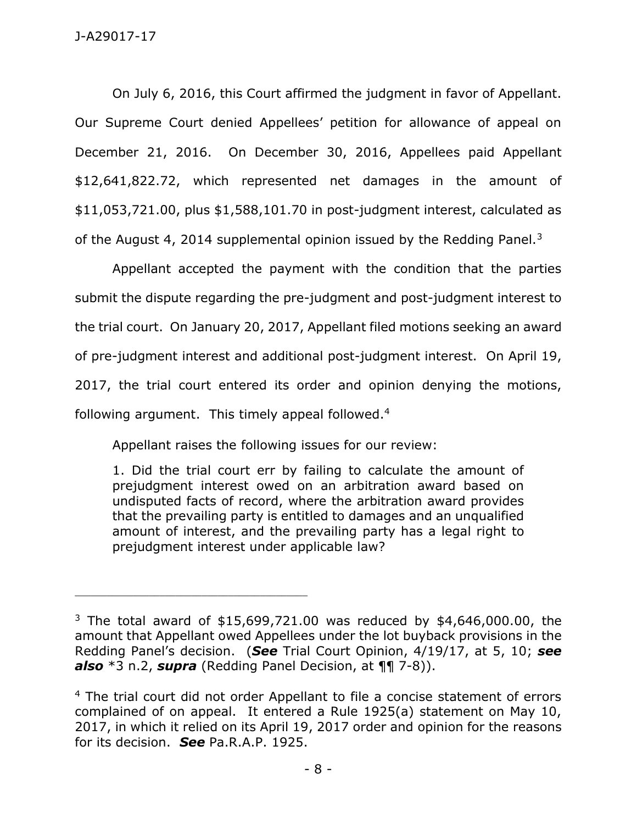On July 6, 2016, this Court affirmed the judgment in favor of Appellant. Our Supreme Court denied Appellees' petition for allowance of appeal on December 21, 2016. On December 30, 2016, Appellees paid Appellant \$12,641,822.72, which represented net damages in the amount of \$11,053,721.00, plus \$1,588,101.70 in post-judgment interest, calculated as of the August 4, 2014 supplemental opinion issued by the Redding Panel.<sup>3</sup>

Appellant accepted the payment with the condition that the parties submit the dispute regarding the pre-judgment and post-judgment interest to the trial court. On January 20, 2017, Appellant filed motions seeking an award of pre-judgment interest and additional post-judgment interest. On April 19, 2017, the trial court entered its order and opinion denying the motions, following argument. This timely appeal followed.<sup>4</sup>

Appellant raises the following issues for our review:

\_\_\_\_\_\_\_\_\_\_\_\_\_\_\_\_\_\_\_\_\_\_\_\_\_\_\_\_\_\_\_\_\_\_\_\_\_\_\_\_\_\_\_\_

1. Did the trial court err by failing to calculate the amount of prejudgment interest owed on an arbitration award based on undisputed facts of record, where the arbitration award provides that the prevailing party is entitled to damages and an unqualified amount of interest, and the prevailing party has a legal right to prejudgment interest under applicable law?

<sup>&</sup>lt;sup>3</sup> The total award of \$15,699,721.00 was reduced by \$4,646,000.00, the amount that Appellant owed Appellees under the lot buyback provisions in the Redding Panel's decision. (*See* Trial Court Opinion, 4/19/17, at 5, 10; *see also* \*3 n.2, *supra* (Redding Panel Decision, at ¶¶ 7-8)).

<sup>&</sup>lt;sup>4</sup> The trial court did not order Appellant to file a concise statement of errors complained of on appeal. It entered a Rule 1925(a) statement on May 10, 2017, in which it relied on its April 19, 2017 order and opinion for the reasons for its decision. *See* Pa.R.A.P. 1925.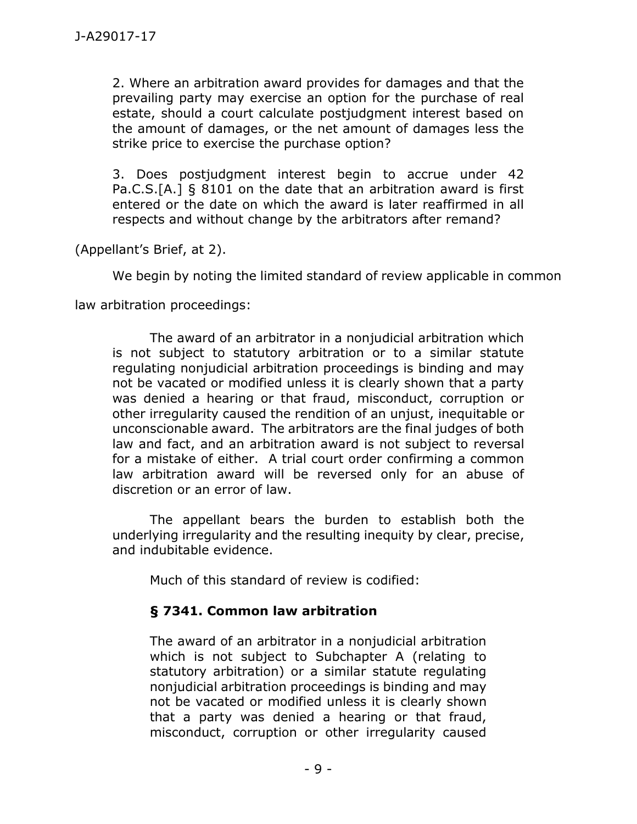2. Where an arbitration award provides for damages and that the prevailing party may exercise an option for the purchase of real estate, should a court calculate postjudgment interest based on the amount of damages, or the net amount of damages less the strike price to exercise the purchase option?

3. Does postjudgment interest begin to accrue under 42 Pa.C.S.[A.] § 8101 on the date that an arbitration award is first entered or the date on which the award is later reaffirmed in all respects and without change by the arbitrators after remand?

(Appellant's Brief, at 2).

We begin by noting the limited standard of review applicable in common

law arbitration proceedings:

The award of an arbitrator in a nonjudicial arbitration which is not subject to statutory arbitration or to a similar statute regulating nonjudicial arbitration proceedings is binding and may not be vacated or modified unless it is clearly shown that a party was denied a hearing or that fraud, misconduct, corruption or other irregularity caused the rendition of an unjust, inequitable or unconscionable award. The arbitrators are the final judges of both law and fact, and an arbitration award is not subject to reversal for a mistake of either. A trial court order confirming a common law arbitration award will be reversed only for an abuse of discretion or an error of law.

The appellant bears the burden to establish both the underlying irregularity and the resulting inequity by clear, precise, and indubitable evidence.

Much of this standard of review is codified:

# **§ 7341. Common law arbitration**

The award of an arbitrator in a nonjudicial arbitration which is not subject to Subchapter A (relating to statutory arbitration) or a similar statute regulating nonjudicial arbitration proceedings is binding and may not be vacated or modified unless it is clearly shown that a party was denied a hearing or that fraud, misconduct, corruption or other irregularity caused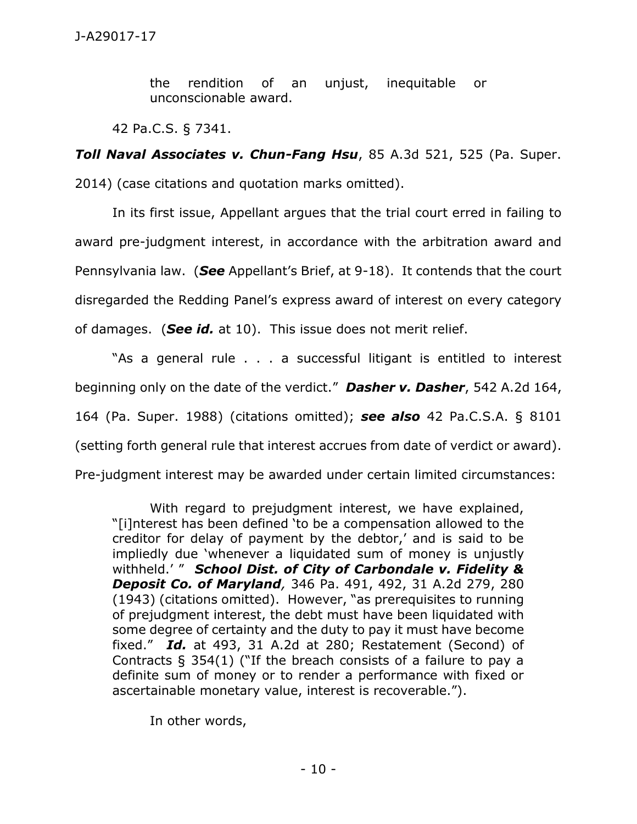the rendition of an unjust, inequitable or unconscionable award.

42 Pa.C.S. § 7341.

*Toll Naval Associates v. Chun-Fang Hsu*, 85 A.3d 521, 525 (Pa. Super. 2014) (case citations and quotation marks omitted).

In its first issue, Appellant argues that the trial court erred in failing to award pre-judgment interest, in accordance with the arbitration award and Pennsylvania law. (*See* Appellant's Brief, at 9-18). It contends that the court disregarded the Redding Panel's express award of interest on every category of damages. (*See id.* at 10). This issue does not merit relief.

"As a general rule . . . a successful litigant is entitled to interest beginning only on the date of the verdict." *Dasher v. Dasher*, 542 A.2d 164, 164 (Pa. Super. 1988) (citations omitted); *see also* 42 Pa.C.S.A. § 8101 (setting forth general rule that interest accrues from date of verdict or award). Pre-judgment interest may be awarded under certain limited circumstances:

With regard to prejudgment interest, we have explained, "[i]nterest has been defined 'to be a compensation allowed to the creditor for delay of payment by the debtor,' and is said to be impliedly due 'whenever a liquidated sum of money is unjustly withheld.' " *School Dist. of City of Carbondale v. Fidelity & Deposit Co. of Maryland,* 346 Pa. 491, 492, 31 A.2d 279, 280 (1943) (citations omitted). However, "as prerequisites to running of prejudgment interest, the debt must have been liquidated with some degree of certainty and the duty to pay it must have become fixed." *Id.* at 493, 31 A.2d at 280; Restatement (Second) of Contracts § 354(1) ("If the breach consists of a failure to pay a definite sum of money or to render a performance with fixed or ascertainable monetary value, interest is recoverable.").

In other words,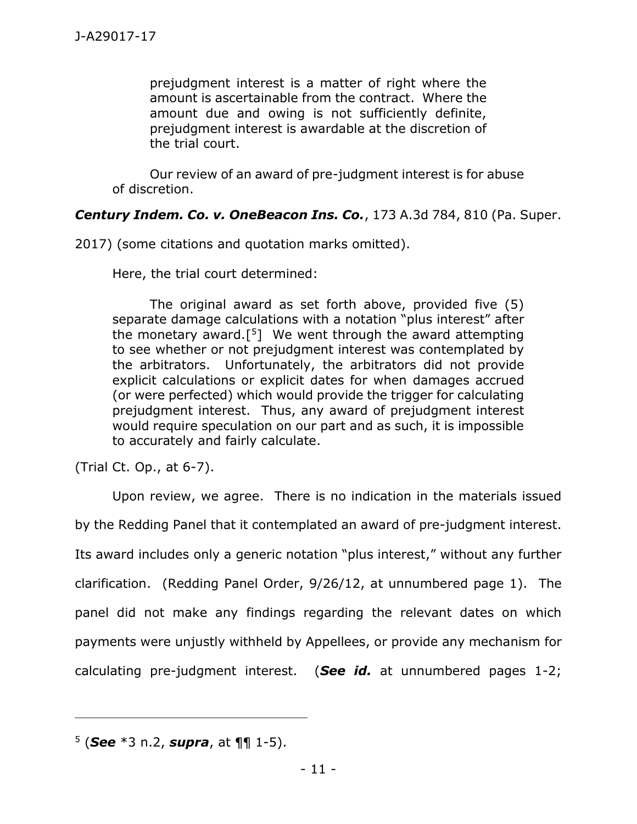prejudgment interest is a matter of right where the amount is ascertainable from the contract. Where the amount due and owing is not sufficiently definite, prejudgment interest is awardable at the discretion of the trial court.

Our review of an award of pre-judgment interest is for abuse of discretion.

## *Century Indem. Co. v. OneBeacon Ins. Co.*, 173 A.3d 784, 810 (Pa. Super.

2017) (some citations and quotation marks omitted).

Here, the trial court determined:

The original award as set forth above, provided five (5) separate damage calculations with a notation "plus interest" after the monetary award.[ <sup>5</sup>] We went through the award attempting to see whether or not prejudgment interest was contemplated by the arbitrators. Unfortunately, the arbitrators did not provide explicit calculations or explicit dates for when damages accrued (or were perfected) which would provide the trigger for calculating prejudgment interest. Thus, any award of prejudgment interest would require speculation on our part and as such, it is impossible to accurately and fairly calculate.

(Trial Ct. Op., at 6-7).

Upon review, we agree. There is no indication in the materials issued by the Redding Panel that it contemplated an award of pre-judgment interest. Its award includes only a generic notation "plus interest," without any further clarification. (Redding Panel Order, 9/26/12, at unnumbered page 1). The panel did not make any findings regarding the relevant dates on which payments were unjustly withheld by Appellees, or provide any mechanism for calculating pre-judgment interest. (*See id.* at unnumbered pages 1-2;

\_\_\_\_\_\_\_\_\_\_\_\_\_\_\_\_\_\_\_\_\_\_\_\_\_\_\_\_\_\_\_\_\_\_\_\_\_\_\_\_\_\_\_\_

<sup>5</sup> (*See* \*3 n.2, *supra*, at ¶¶ 1-5).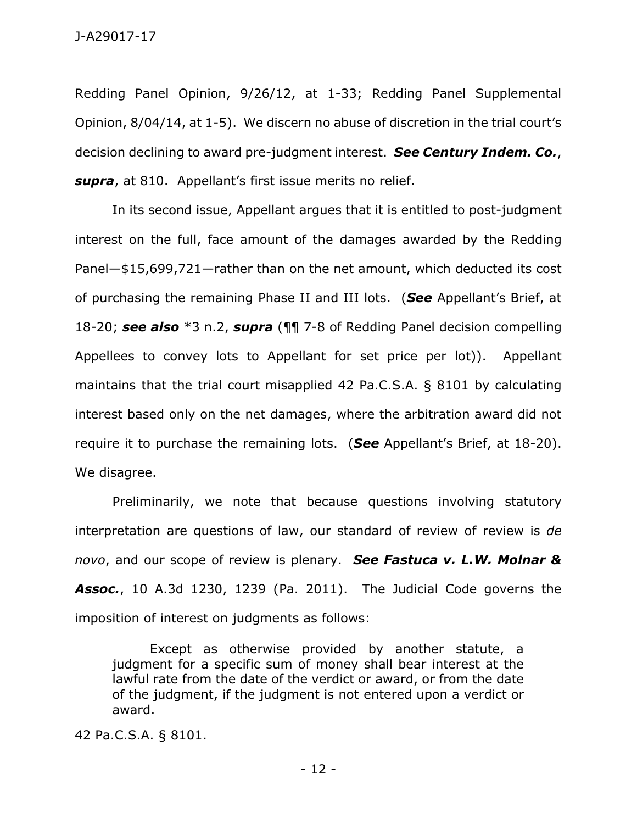Redding Panel Opinion, 9/26/12, at 1-33; Redding Panel Supplemental Opinion, 8/04/14, at 1-5). We discern no abuse of discretion in the trial court's decision declining to award pre-judgment interest. *See Century Indem. Co.*, *supra*, at 810. Appellant's first issue merits no relief.

In its second issue, Appellant argues that it is entitled to post-judgment interest on the full, face amount of the damages awarded by the Redding Panel—\$15,699,721—rather than on the net amount, which deducted its cost of purchasing the remaining Phase II and III lots. (*See* Appellant's Brief, at 18-20; *see also* \*3 n.2, *supra* (¶¶ 7-8 of Redding Panel decision compelling Appellees to convey lots to Appellant for set price per lot)). Appellant maintains that the trial court misapplied 42 Pa.C.S.A. § 8101 by calculating interest based only on the net damages, where the arbitration award did not require it to purchase the remaining lots. (*See* Appellant's Brief, at 18-20). We disagree.

Preliminarily, we note that because questions involving statutory interpretation are questions of law, our standard of review of review is *de novo*, and our scope of review is plenary. *See Fastuca v. L.W. Molnar & Assoc.*, 10 A.3d 1230, 1239 (Pa. 2011). The Judicial Code governs the imposition of interest on judgments as follows:

Except as otherwise provided by another statute, a judgment for a specific sum of money shall bear interest at the lawful rate from the date of the verdict or award, or from the date of the judgment, if the judgment is not entered upon a verdict or award.

42 Pa.C.S.A. § 8101.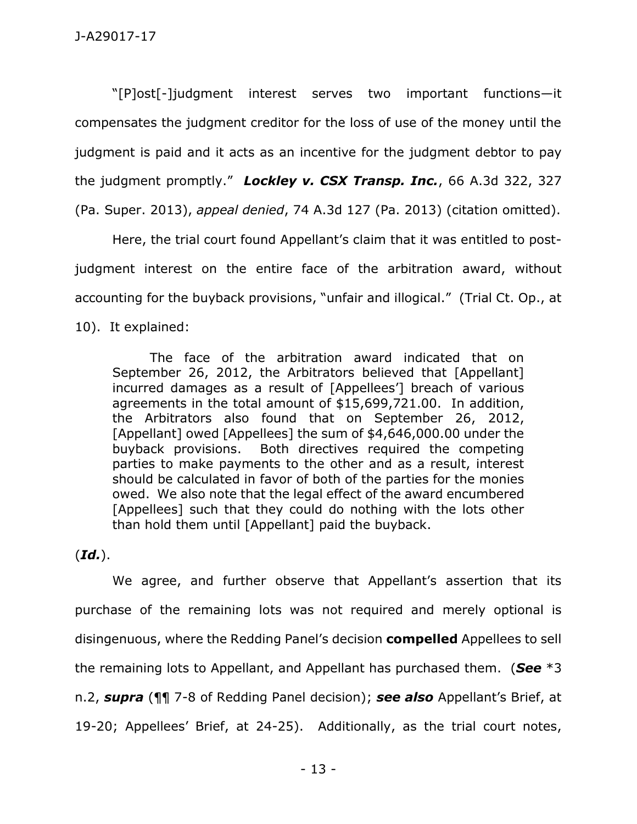"[P]ost[-]judgment interest serves two important functions—it compensates the judgment creditor for the loss of use of the money until the judgment is paid and it acts as an incentive for the judgment debtor to pay the judgment promptly." *Lockley v. CSX Transp. Inc.*, 66 A.3d 322, 327 (Pa. Super. 2013), *appeal denied*, 74 A.3d 127 (Pa. 2013) (citation omitted).

Here, the trial court found Appellant's claim that it was entitled to postjudgment interest on the entire face of the arbitration award, without accounting for the buyback provisions, "unfair and illogical." (Trial Ct. Op., at 10). It explained:

The face of the arbitration award indicated that on September 26, 2012, the Arbitrators believed that [Appellant] incurred damages as a result of [Appellees'] breach of various agreements in the total amount of \$15,699,721.00. In addition, the Arbitrators also found that on September 26, 2012, [Appellant] owed [Appellees] the sum of \$4,646,000.00 under the buyback provisions. Both directives required the competing parties to make payments to the other and as a result, interest should be calculated in favor of both of the parties for the monies owed. We also note that the legal effect of the award encumbered [Appellees] such that they could do nothing with the lots other than hold them until [Appellant] paid the buyback.

### (*Id.*).

We agree, and further observe that Appellant's assertion that its purchase of the remaining lots was not required and merely optional is disingenuous, where the Redding Panel's decision **compelled** Appellees to sell the remaining lots to Appellant, and Appellant has purchased them. (*See* \*3 n.2, *supra* (¶¶ 7-8 of Redding Panel decision); *see also* Appellant's Brief, at 19-20; Appellees' Brief, at 24-25). Additionally, as the trial court notes,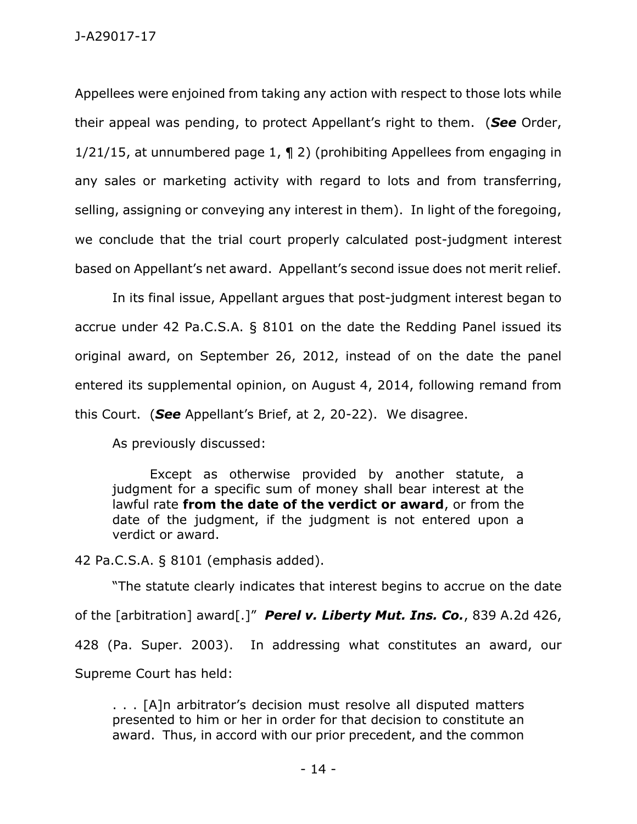J-A29017-17

Appellees were enjoined from taking any action with respect to those lots while their appeal was pending, to protect Appellant's right to them. (*See* Order, 1/21/15, at unnumbered page 1, ¶ 2) (prohibiting Appellees from engaging in any sales or marketing activity with regard to lots and from transferring, selling, assigning or conveying any interest in them). In light of the foregoing, we conclude that the trial court properly calculated post-judgment interest based on Appellant's net award. Appellant's second issue does not merit relief.

In its final issue, Appellant argues that post-judgment interest began to accrue under 42 Pa.C.S.A. § 8101 on the date the Redding Panel issued its original award, on September 26, 2012, instead of on the date the panel entered its supplemental opinion, on August 4, 2014, following remand from this Court. (*See* Appellant's Brief, at 2, 20-22). We disagree.

As previously discussed:

Except as otherwise provided by another statute, a judgment for a specific sum of money shall bear interest at the lawful rate **from the date of the verdict or award**, or from the date of the judgment, if the judgment is not entered upon a verdict or award.

42 Pa.C.S.A. § 8101 (emphasis added).

"The statute clearly indicates that interest begins to accrue on the date of the [arbitration] award[.]" *Perel v. Liberty Mut. Ins. Co.*, 839 A.2d 426, 428 (Pa. Super. 2003). In addressing what constitutes an award, our Supreme Court has held:

. . . [A]n arbitrator's decision must resolve all disputed matters presented to him or her in order for that decision to constitute an award. Thus, in accord with our prior precedent, and the common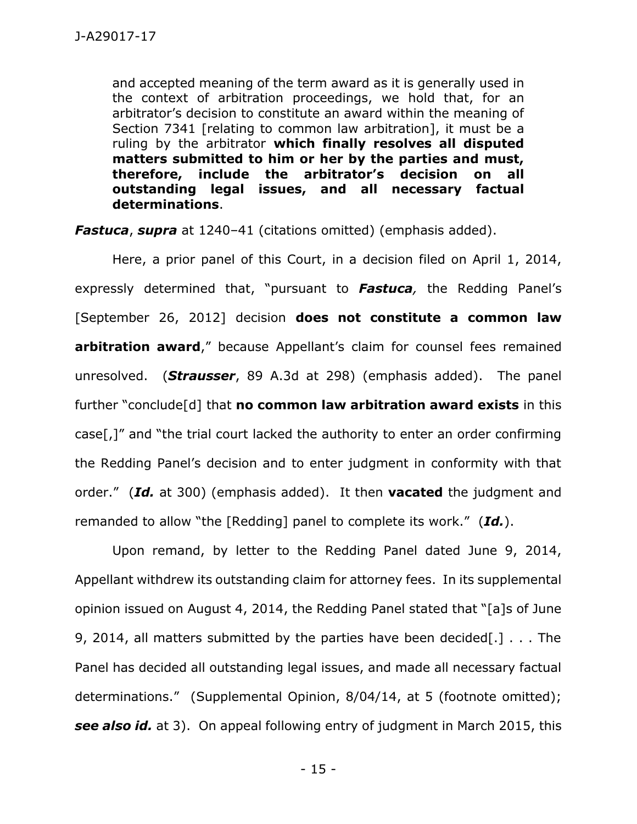and accepted meaning of the term award as it is generally used in the context of arbitration proceedings, we hold that, for an arbitrator's decision to constitute an award within the meaning of Section 7341 [relating to common law arbitration], it must be a ruling by the arbitrator **which finally resolves all disputed matters submitted to him or her by the parties and must, therefore, include the arbitrator's decision on all outstanding legal issues, and all necessary factual determinations**.

*Fastuca*, *supra* at 1240–41 (citations omitted) (emphasis added).

Here, a prior panel of this Court, in a decision filed on April 1, 2014, expressly determined that, "pursuant to *Fastuca,* the Redding Panel's [September 26, 2012] decision **does not constitute a common law arbitration award**," because Appellant's claim for counsel fees remained unresolved. (*Strausser*, 89 A.3d at 298) (emphasis added). The panel further "conclude[d] that **no common law arbitration award exists** in this case[,]" and "the trial court lacked the authority to enter an order confirming the Redding Panel's decision and to enter judgment in conformity with that order." (*Id.* at 300) (emphasis added). It then **vacated** the judgment and remanded to allow "the [Redding] panel to complete its work." (*Id.*).

Upon remand, by letter to the Redding Panel dated June 9, 2014, Appellant withdrew its outstanding claim for attorney fees. In its supplemental opinion issued on August 4, 2014, the Redding Panel stated that "[a]s of June 9, 2014, all matters submitted by the parties have been decided[.] . . . The Panel has decided all outstanding legal issues, and made all necessary factual determinations." (Supplemental Opinion, 8/04/14, at 5 (footnote omitted); *see also id.* at 3). On appeal following entry of judgment in March 2015, this